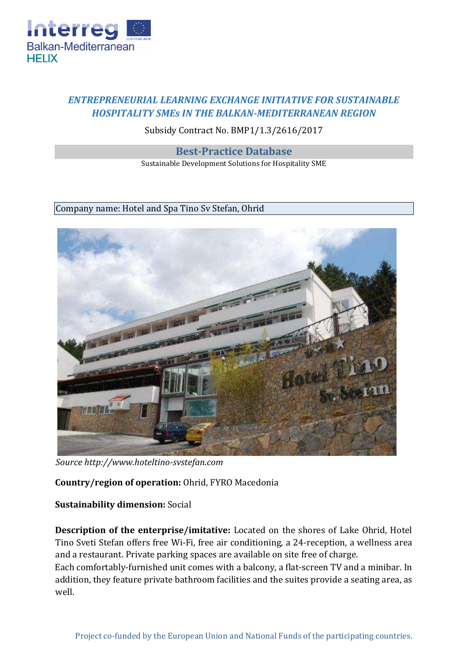

# *ENTREPRENEURIAL LEARNING EXCHANGE INITIATIVE FOR SUSTAINABLE HOSPITALITY SMEs IN THE BALKAN-MEDITERRANEAN REGION*

# Subsidy Contract No. BMP1/1.3/2616/2017

#### **Best-Practice Database**

Sustainable Development Solutions for Hospitality SME

#### Company name: Hotel and Spa Tino Sv Stefan, Ohrid



*Source http://www.hoteltino-svstefan.com* 

## **Country/region of operation:** Ohrid, FYRO Macedonia

## **Sustainability dimension:** Social

**Description of the enterprise/imitative:** Located on the shores of Lake Ohrid, Hotel Tino Sveti Stefan offers free Wi-Fi, free air conditioning, a 24-reception, a wellness area and a restaurant. Private parking spaces are available on site free of charge. Each comfortably-furnished unit comes with a balcony, a flat-screen TV and a minibar. In addition, they feature private bathroom facilities and the suites provide a seating area, as well.